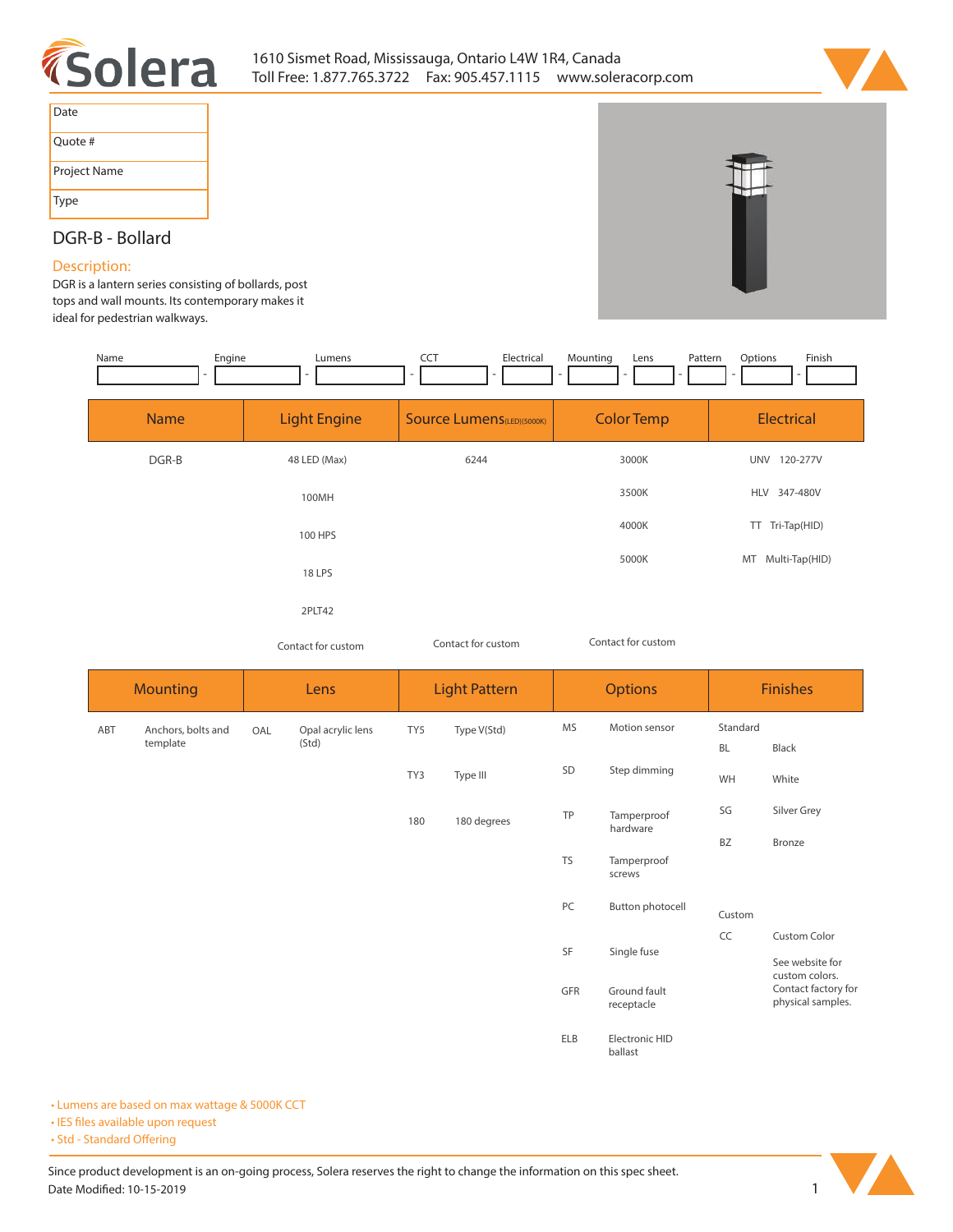



| Date         |
|--------------|
| Quote #      |
| Project Name |
| Type         |

## **DGR-B - Bollard**

## **Description:**

**DGR is a lantern series consisting of bollards, post tops and wall mounts. Its contemporary makes it ideal for pedestrian walkways.** 

| Engine<br>Name | Lumens              | <b>CCT</b><br>Electrical<br>۰     | Mounting<br>Lens<br>Pattern<br>۰ | Options<br>Finish    |
|----------------|---------------------|-----------------------------------|----------------------------------|----------------------|
| <b>Name</b>    | <b>Light Engine</b> | <b>Source Lumens</b> (LED)(5000K) | <b>Color Temp</b>                | <b>Electrical</b>    |
| DGR-B          | 48 LED (Max)        | 6244                              | 3000K                            | UNV 120-277V         |
|                | 100MH               |                                   | 3500K                            | HLV 347-480V         |
|                | 100 HPS             |                                   | 4000K                            | TT Tri-Tap(HID)      |
|                | 18 LPS              |                                   | 5000K                            | Multi-Tap(HID)<br>MT |
|                | 2PLT42              |                                   |                                  |                      |

*Contact for custom Contact for custom*

*Contact for custom*

|     | <b>Mounting</b>                |     | Lens              |     | <b>Light Pattern</b> | <b>Options</b> |                            | <b>Finishes</b> |                                          |
|-----|--------------------------------|-----|-------------------|-----|----------------------|----------------|----------------------------|-----------------|------------------------------------------|
| ABT | Anchors, bolts and<br>template | OAL | Opal acrylic lens | TY5 | Type V(Std)          | <b>MS</b>      | Motion sensor              | Standard        |                                          |
|     |                                |     | (Std)             |     |                      |                |                            | <b>BL</b>       | Black                                    |
|     |                                |     |                   | TY3 | Type III             | SD             | Step dimming               | WH              | White                                    |
|     |                                |     |                   | 180 | 180 degrees          | TP             | Tamperproof<br>hardware    | SG              | Silver Grey                              |
|     |                                |     |                   |     |                      |                |                            | BZ              | Bronze                                   |
|     |                                |     |                   |     |                      | <b>TS</b>      | Tamperproof<br>screws      |                 |                                          |
|     |                                |     |                   |     |                      | PC             | Button photocell           | Custom          |                                          |
|     |                                |     |                   |     |                      |                |                            | CC              | Custom Color                             |
|     |                                |     |                   |     |                      | SF             | Single fuse                |                 | See website for<br>custom colors.        |
|     |                                |     |                   |     |                      | GFR            | Ground fault<br>receptacle |                 | Contact factory for<br>physical samples. |
|     |                                |     |                   |     |                      | ELB            | Electronic HID<br>ballast  |                 |                                          |

**• Lumens are based on max wattage & 5000K CCT**

**• IES files available upon request** 

• Std - Standard Offering

Since product development is an on-going process, Solera reserves the right to change the information on this spec sheet. **Date Modied: 10-15-2019 1**